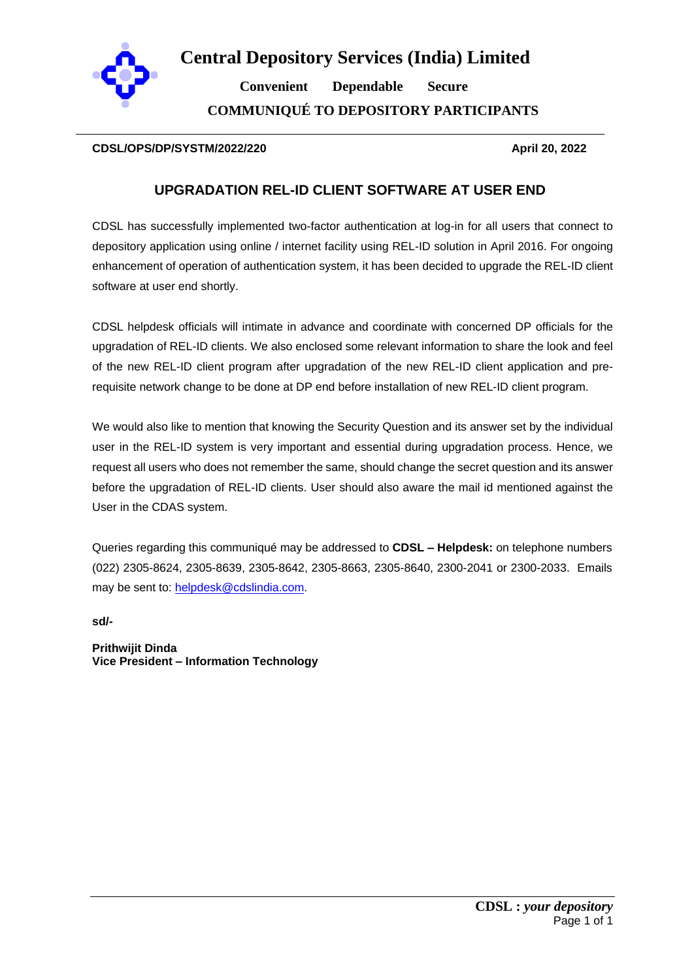

**Central Depository Services (India) Limited**

 **Convenient Dependable Secure COMMUNIQUÉ TO DEPOSITORY PARTICIPANTS**

# **CDSL/OPS/DP/SYSTM/2022/220 April 20, 2022**

# **UPGRADATION REL-ID CLIENT SOFTWARE AT USER END**

CDSL has successfully implemented two-factor authentication at log-in for all users that connect to depository application using online / internet facility using REL-ID solution in April 2016. For ongoing enhancement of operation of authentication system, it has been decided to upgrade the REL-ID client software at user end shortly.

CDSL helpdesk officials will intimate in advance and coordinate with concerned DP officials for the upgradation of REL-ID clients. We also enclosed some relevant information to share the look and feel of the new REL-ID client program after upgradation of the new REL-ID client application and prerequisite network change to be done at DP end before installation of new REL-ID client program.

We would also like to mention that knowing the Security Question and its answer set by the individual user in the REL-ID system is very important and essential during upgradation process. Hence, we request all users who does not remember the same, should change the secret question and its answer before the upgradation of REL-ID clients. User should also aware the mail id mentioned against the User in the CDAS system.

Queries regarding this communiqué may be addressed to **CDSL – Helpdesk:** on telephone numbers (022) 2305-8624, 2305-8639, 2305-8642, 2305-8663, 2305-8640, 2300-2041 or 2300-2033. Emails may be sent to: [helpdesk@cdslindia.com.](mailto:helpdesk@cdslindia.com)

**sd/-**

**Prithwijit Dinda Vice President – Information Technology**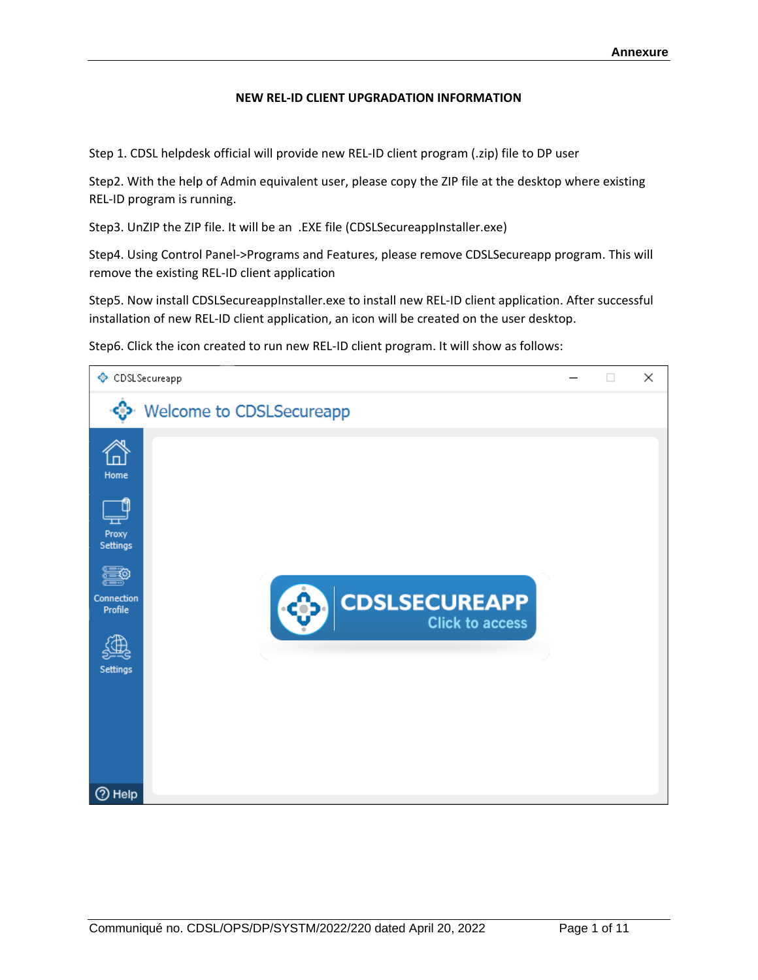## **NEW REL-ID CLIENT UPGRADATION INFORMATION**

Step 1. CDSL helpdesk official will provide new REL-ID client program (.zip) file to DP user

Step2. With the help of Admin equivalent user, please copy the ZIP file at the desktop where existing REL-ID program is running.

Step3. UnZIP the ZIP file. It will be an .EXE file (CDSLSecureappInstaller.exe)

Step4. Using Control Panel->Programs and Features, please remove CDSLSecureapp program. This will remove the existing REL-ID client application

Step5. Now install CDSLSecureappInstaller.exe to install new REL-ID client application. After successful installation of new REL-ID client application, an icon will be created on the user desktop.

Step6. Click the icon created to run new REL-ID client program. It will show as follows:

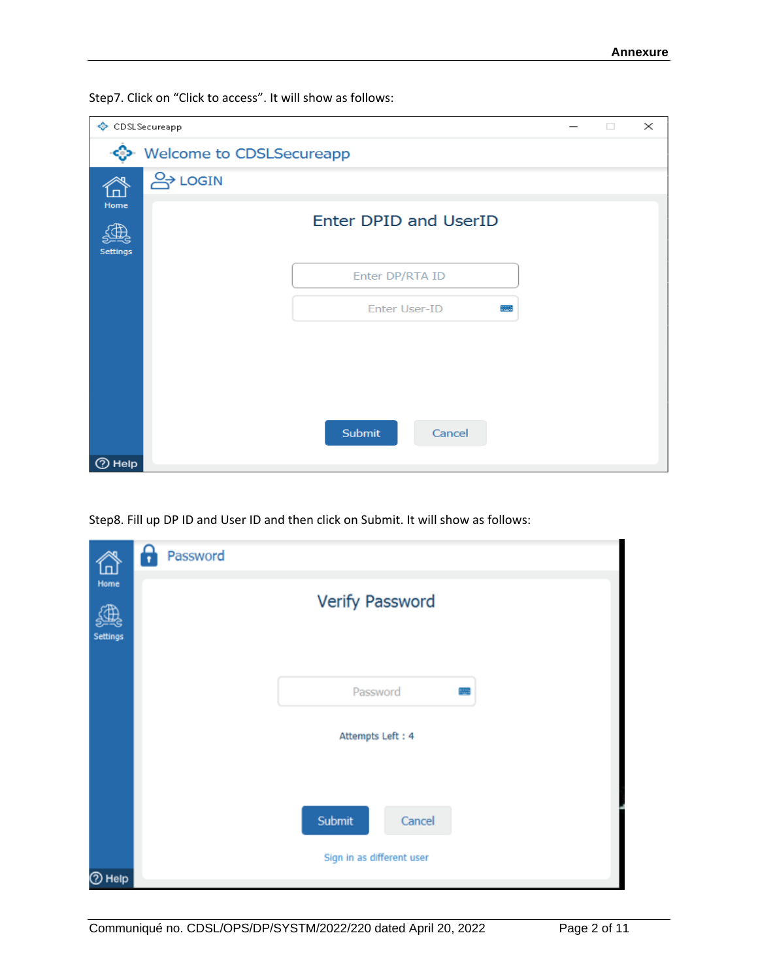Step7. Click on "Click to access". It will show as follows:

|                         | CDSLSecureapp<br>$\times$<br>$\Box$ |                              |  |  |  |  |
|-------------------------|-------------------------------------|------------------------------|--|--|--|--|
|                         | Welcome to CDSLSecureapp            |                              |  |  |  |  |
|                         | <b>A</b> LOGIN                      |                              |  |  |  |  |
| Home<br><b>Settings</b> |                                     | <b>Enter DPID and UserID</b> |  |  |  |  |
|                         |                                     | Enter DP/RTA ID              |  |  |  |  |
|                         |                                     | Enter User-ID                |  |  |  |  |
|                         |                                     |                              |  |  |  |  |
|                         |                                     |                              |  |  |  |  |
|                         |                                     |                              |  |  |  |  |
|                         |                                     | Submit<br>Cancel             |  |  |  |  |
| <b>⑦ Help</b>           |                                     |                              |  |  |  |  |

Step8. Fill up DP ID and User ID and then click on Submit. It will show as follows:

| لصا                     | θ<br>Password             |
|-------------------------|---------------------------|
| Home<br><b>Settings</b> | Verify Password           |
|                         | Password                  |
|                         | Attempts Left: 4          |
|                         |                           |
|                         | Submit<br>Cancel          |
| <b>O</b> Help           | Sign in as different user |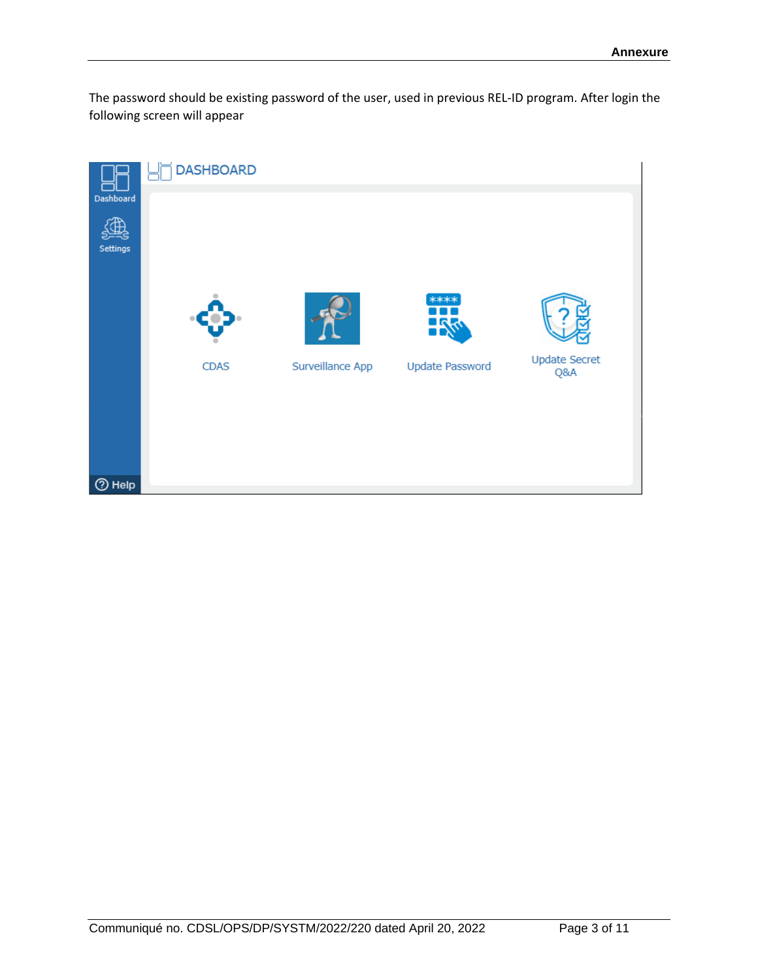The password should be existing password of the user, used in previous REL-ID program. After login the following screen will appear

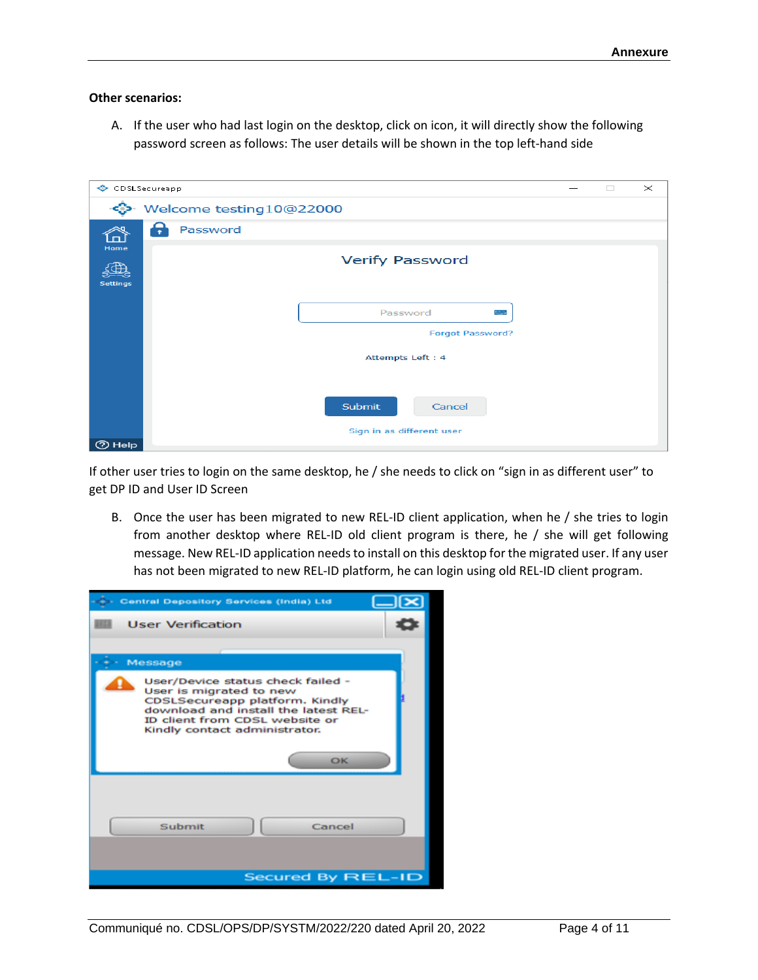### **Other scenarios:**

A. If the user who had last login on the desktop, click on icon, it will directly show the following password screen as follows: The user details will be shown in the top left-hand side

| CDSLSecureapp    |                           | $\Box$ | $\times$ |
|------------------|---------------------------|--------|----------|
|                  | Welcome testing10@22000   |        |          |
|                  | Password<br>7             |        |          |
| Home<br>Settings | <b>Verify Password</b>    |        |          |
|                  | Password                  |        |          |
|                  | <b>Forgot Password?</b>   |        |          |
|                  | Attempts Left: 4          |        |          |
|                  |                           |        |          |
|                  | <b>Submit</b><br>Cancel   |        |          |
|                  | Sign in as different user |        |          |
| <b>2</b> Help    |                           |        |          |

If other user tries to login on the same desktop, he / she needs to click on "sign in as different user" to get DP ID and User ID Screen

B. Once the user has been migrated to new REL-ID client application, when he / she tries to login from another desktop where REL-ID old client program is there, he / she will get following message. New REL-ID application needs to install on this desktop for the migrated user. If any user has not been migrated to new REL-ID platform, he can login using old REL-ID client program.

| Central Depository Services (India) Ltd                                                                                                                                                                         |  |
|-----------------------------------------------------------------------------------------------------------------------------------------------------------------------------------------------------------------|--|
| <b>User Verification</b>                                                                                                                                                                                        |  |
|                                                                                                                                                                                                                 |  |
| Message                                                                                                                                                                                                         |  |
| User/Device status check failed -<br>User is migrated to new<br>CDSLSecureapp platform. Kindly<br>download and install the latest REL-<br>ID client from CDSL website or<br>Kindly contact administrator.<br>OK |  |
| Submit<br>Cancel                                                                                                                                                                                                |  |
| Secured By REL-ID                                                                                                                                                                                               |  |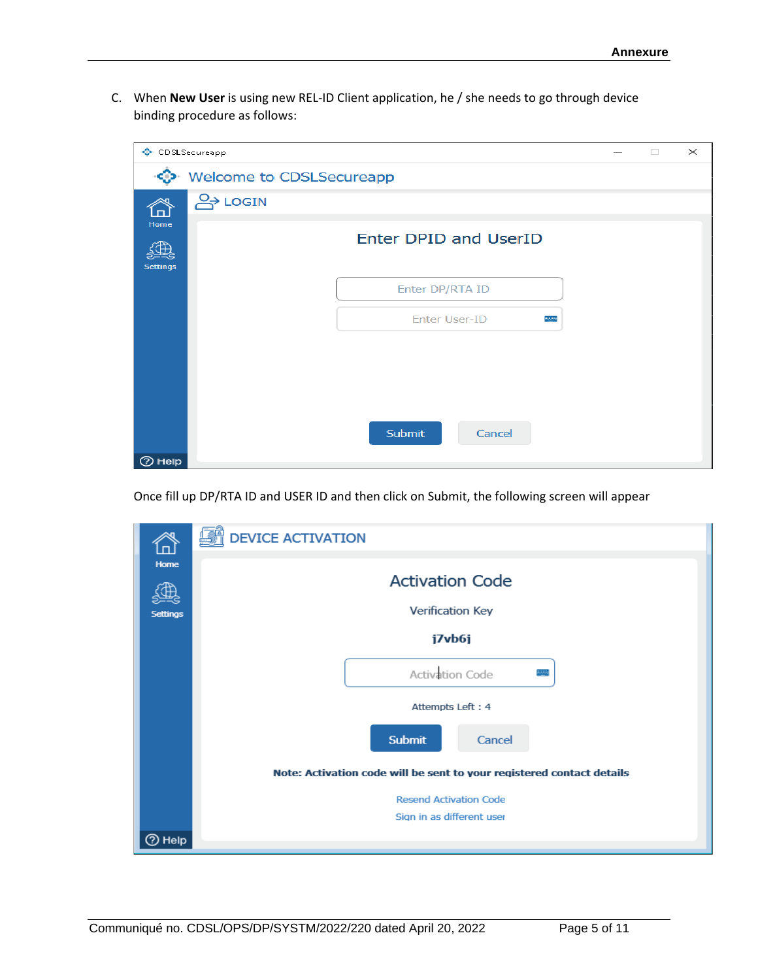C. When **New User** is using new REL-ID Client application, he / she needs to go through device binding procedure as follows:

| CDSLSecureapp    |                          |                              | $\Box$ | $\times$ |
|------------------|--------------------------|------------------------------|--------|----------|
|                  | Welcome to CDSLSecureapp |                              |        |          |
| ſпÌ              | <b>A</b> LOGIN           |                              |        |          |
| Home<br>Settings |                          | <b>Enter DPID and UserID</b> |        |          |
|                  |                          | Enter DP/RTA ID              |        |          |
|                  |                          | <b>Enter User-ID</b>         |        |          |
|                  |                          |                              |        |          |
|                  |                          |                              |        |          |
|                  |                          |                              |        |          |
|                  |                          | Submit<br>Cancel             |        |          |
| <b>2</b> Help    |                          |                              |        |          |

Once fill up DP/RTA ID and USER ID and then click on Submit, the following screen will appear

| ⋒                       | <b>DEVICE ACTIVATION</b>                                                                                                                                                                        |
|-------------------------|-------------------------------------------------------------------------------------------------------------------------------------------------------------------------------------------------|
| Home<br><b>Settings</b> | <b>Activation Code</b><br>Verification Key<br>j7vb6j<br>Activation Code<br>Attempts Left: 4<br><b>Submit</b><br>Cancel<br>Note: Activation code will be sent to your registered contact details |
|                         | <b>Resend Activation Code</b><br>Sign in as different user                                                                                                                                      |
| ⑦ Help                  |                                                                                                                                                                                                 |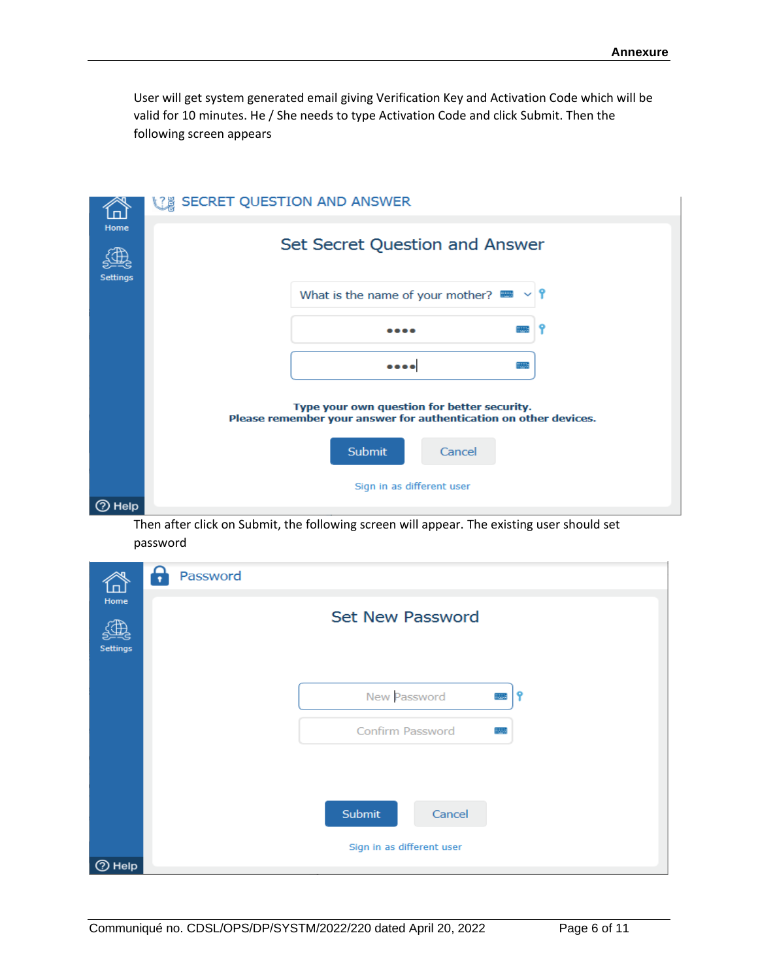User will get system generated email giving Verification Key and Activation Code which will be valid for 10 minutes. He / She needs to type Activation Code and click Submit. Then the following screen appears



Then after click on Submit, the following screen will appear. The existing user should set password

| ក្រា<br>Home<br><b>Settings</b> | Password<br>Н | <b>Set New Password</b>                       |  |
|---------------------------------|---------------|-----------------------------------------------|--|
|                                 |               | New Password<br>Confirm Password              |  |
| $\odot$ Help                    |               | Submit<br>Cancel<br>Sign in as different user |  |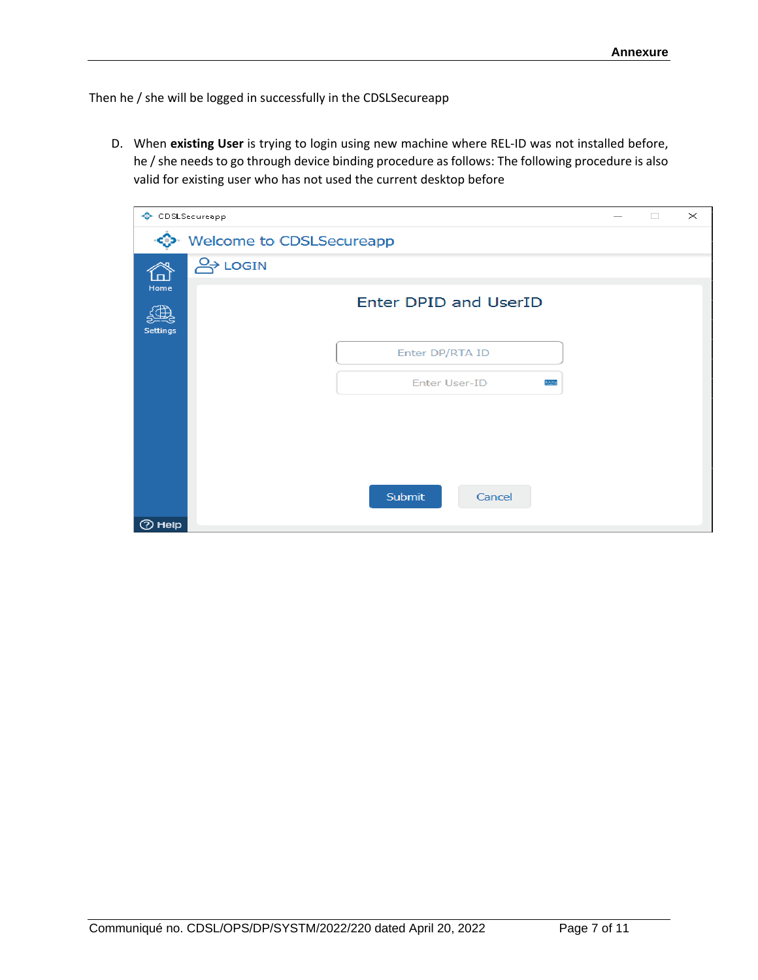Then he / she will be logged in successfully in the CDSLSecureapp

D. When **existing User** is trying to login using new machine where REL-ID was not installed before, he / she needs to go through device binding procedure as follows: The following procedure is also valid for existing user who has not used the current desktop before

| ◈                | CDSLSecureapp            |                              | $\Box$ | $\times$ |
|------------------|--------------------------|------------------------------|--------|----------|
|                  | Welcome to CDSLSecureapp |                              |        |          |
| 岙                | <b>O</b> >LOGIN          |                              |        |          |
| Home<br>Settings |                          | <b>Enter DPID and UserID</b> |        |          |
|                  |                          | Enter DP/RTA ID              |        |          |
|                  |                          | <b>Enter User-ID</b>         |        |          |
|                  |                          |                              |        |          |
|                  |                          |                              |        |          |
|                  |                          |                              |        |          |
|                  |                          | Submit<br>Cancel             |        |          |
| <b>2</b> Help    |                          |                              |        |          |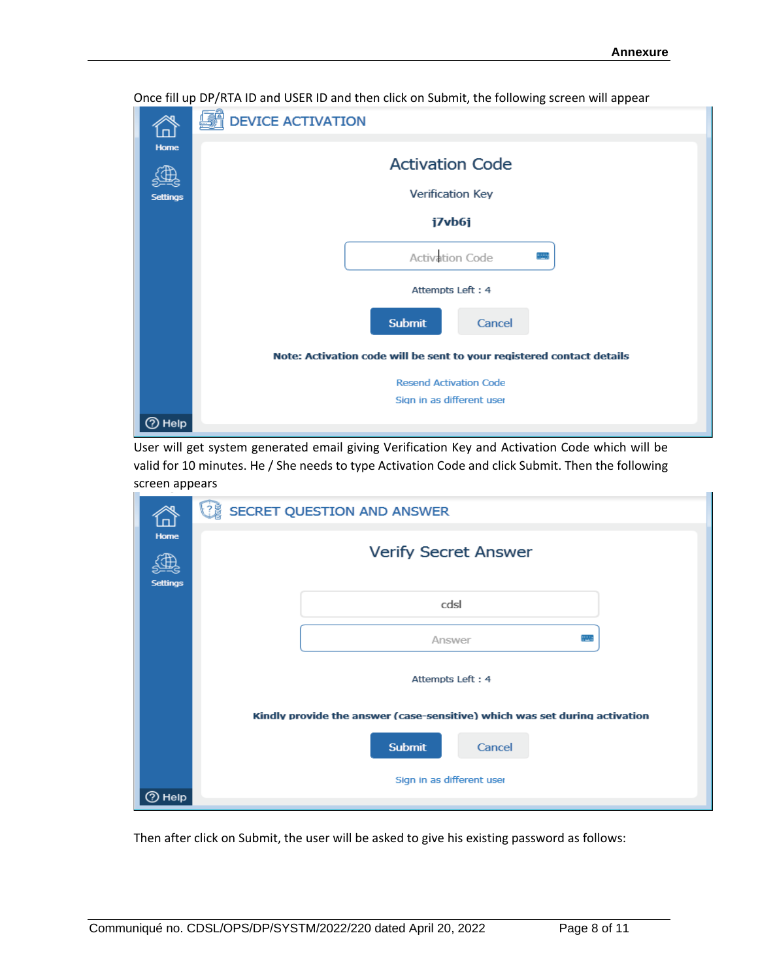

Once fill up DP/RTA ID and USER ID and then click on Submit, the following screen will appear

User will get system generated email giving Verification Key and Activation Code which will be valid for 10 minutes. He / She needs to type Activation Code and click Submit. Then the following screen appears

| 'n                      | <b>VE SECRET QUESTION AND ANSWER</b>                                       |  |  |  |  |  |
|-------------------------|----------------------------------------------------------------------------|--|--|--|--|--|
| Home<br><b>Settings</b> | <b>Verify Secret Answer</b>                                                |  |  |  |  |  |
|                         | cdsl                                                                       |  |  |  |  |  |
|                         | Answer                                                                     |  |  |  |  |  |
|                         | Attempts Left: 4                                                           |  |  |  |  |  |
|                         | Kindly provide the answer (case-sensitive) which was set during activation |  |  |  |  |  |
|                         | <b>Submit</b><br>Cancel                                                    |  |  |  |  |  |
| ② Help                  | Sign in as different user                                                  |  |  |  |  |  |

Then after click on Submit, the user will be asked to give his existing password as follows: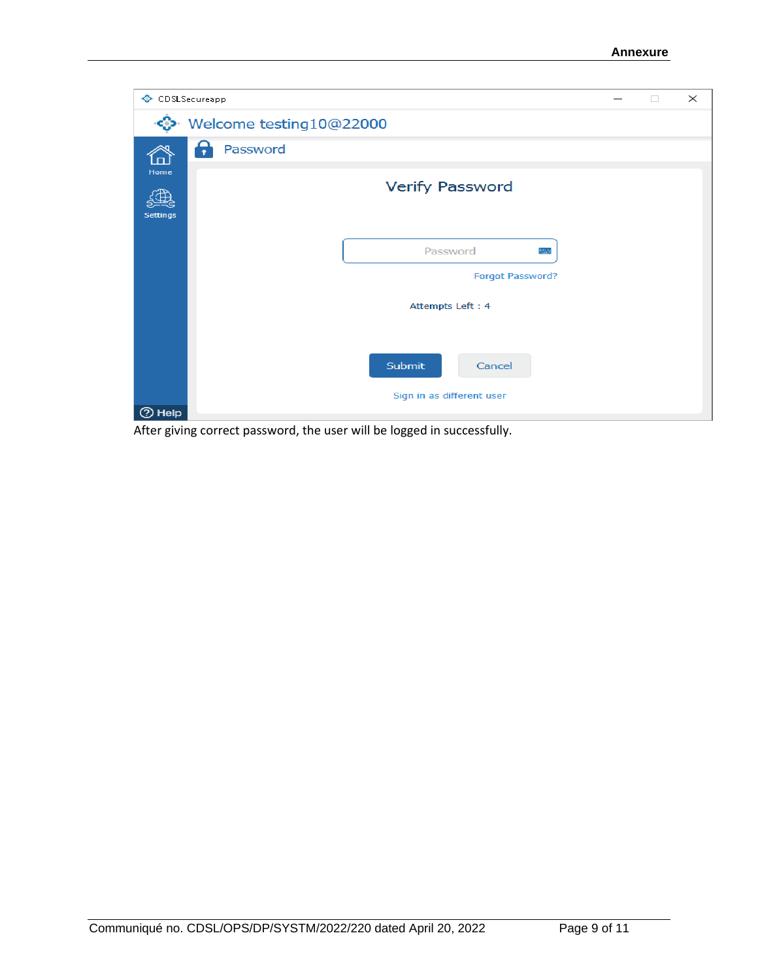| CDSLSecureapp                                 |   | $\Box$ | $\times$ |
|-----------------------------------------------|---|--------|----------|
| Welcome testing10@22000                       |   |        |          |
| ç<br>Password<br>пI                           |   |        |          |
| Home<br><b>Verify Password</b><br>Settings    |   |        |          |
| Password<br>Forgot Password?                  | m |        |          |
| Attempts Left: 4                              |   |        |          |
| Submit<br>Cancel<br>Sign in as different user |   |        |          |
| <b>2</b> Help                                 |   |        |          |

After giving correct password, the user will be logged in successfully.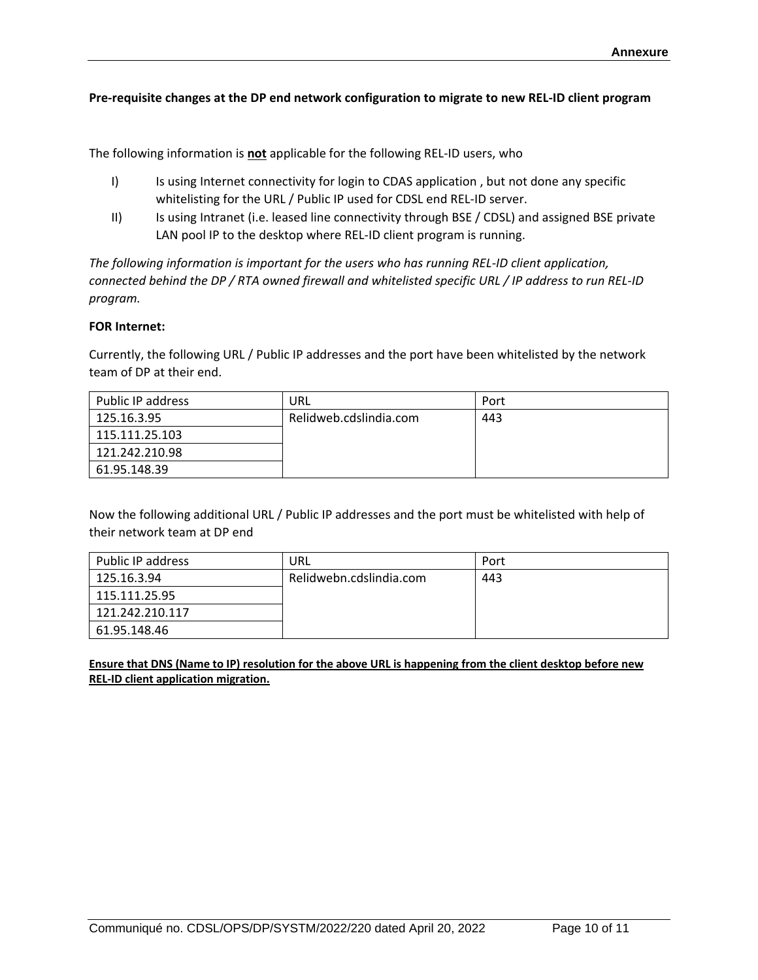### **Pre-requisite changes at the DP end network configuration to migrate to new REL-ID client program**

The following information is **not** applicable for the following REL-ID users, who

- I) Is using Internet connectivity for login to CDAS application, but not done any specific whitelisting for the URL / Public IP used for CDSL end REL-ID server.
- II) Is using Intranet (i.e. leased line connectivity through BSE / CDSL) and assigned BSE private LAN pool IP to the desktop where REL-ID client program is running.

*The following information is important for the users who has running REL-ID client application, connected behind the DP / RTA owned firewall and whitelisted specific URL / IP address to run REL-ID program.*

#### **FOR Internet:**

Currently, the following URL / Public IP addresses and the port have been whitelisted by the network team of DP at their end.

| Public IP address | URL                    | Port |
|-------------------|------------------------|------|
| 125.16.3.95       | Relidweb.cdslindia.com | 443  |
| 115.111.25.103    |                        |      |
| 121.242.210.98    |                        |      |
| 61.95.148.39      |                        |      |

Now the following additional URL / Public IP addresses and the port must be whitelisted with help of their network team at DP end

| Public IP address | URL                     | Port |
|-------------------|-------------------------|------|
| 125.16.3.94       | Relidwebn.cdslindia.com | 443  |
| 115.111.25.95     |                         |      |
| 121.242.210.117   |                         |      |
| 61.95.148.46      |                         |      |

**Ensure that DNS (Name to IP) resolution for the above URL is happening from the client desktop before new REL-ID client application migration.**